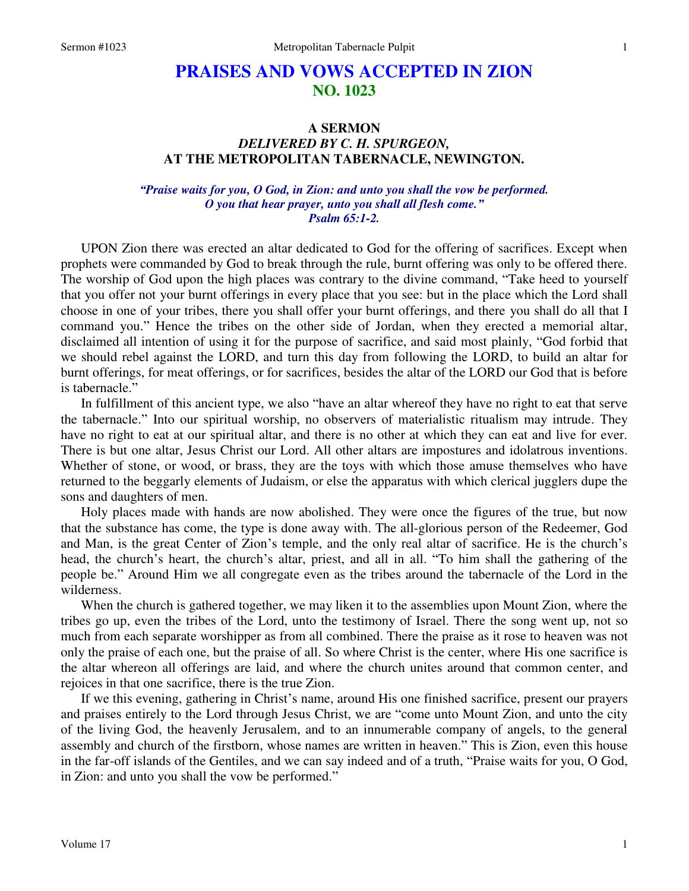# **PRAISES AND VOWS ACCEPTED IN ZION NO. 1023**

### **A SERMON**  *DELIVERED BY C. H. SPURGEON,*  **AT THE METROPOLITAN TABERNACLE, NEWINGTON.**

*"Praise waits for you, O God, in Zion: and unto you shall the vow be performed. O you that hear prayer, unto you shall all flesh come." Psalm 65:1-2.* 

UPON Zion there was erected an altar dedicated to God for the offering of sacrifices. Except when prophets were commanded by God to break through the rule, burnt offering was only to be offered there. The worship of God upon the high places was contrary to the divine command, "Take heed to yourself that you offer not your burnt offerings in every place that you see: but in the place which the Lord shall choose in one of your tribes, there you shall offer your burnt offerings, and there you shall do all that I command you." Hence the tribes on the other side of Jordan, when they erected a memorial altar, disclaimed all intention of using it for the purpose of sacrifice, and said most plainly, "God forbid that we should rebel against the LORD, and turn this day from following the LORD, to build an altar for burnt offerings, for meat offerings, or for sacrifices, besides the altar of the LORD our God that is before is tabernacle."

In fulfillment of this ancient type, we also "have an altar whereof they have no right to eat that serve the tabernacle." Into our spiritual worship, no observers of materialistic ritualism may intrude. They have no right to eat at our spiritual altar, and there is no other at which they can eat and live for ever. There is but one altar, Jesus Christ our Lord. All other altars are impostures and idolatrous inventions. Whether of stone, or wood, or brass, they are the toys with which those amuse themselves who have returned to the beggarly elements of Judaism, or else the apparatus with which clerical jugglers dupe the sons and daughters of men.

Holy places made with hands are now abolished. They were once the figures of the true, but now that the substance has come, the type is done away with. The all-glorious person of the Redeemer, God and Man, is the great Center of Zion's temple, and the only real altar of sacrifice. He is the church's head, the church's heart, the church's altar, priest, and all in all. "To him shall the gathering of the people be." Around Him we all congregate even as the tribes around the tabernacle of the Lord in the wilderness.

When the church is gathered together, we may liken it to the assemblies upon Mount Zion, where the tribes go up, even the tribes of the Lord, unto the testimony of Israel. There the song went up, not so much from each separate worshipper as from all combined. There the praise as it rose to heaven was not only the praise of each one, but the praise of all. So where Christ is the center, where His one sacrifice is the altar whereon all offerings are laid, and where the church unites around that common center, and rejoices in that one sacrifice, there is the true Zion.

If we this evening, gathering in Christ's name, around His one finished sacrifice, present our prayers and praises entirely to the Lord through Jesus Christ, we are "come unto Mount Zion, and unto the city of the living God, the heavenly Jerusalem, and to an innumerable company of angels, to the general assembly and church of the firstborn, whose names are written in heaven." This is Zion, even this house in the far-off islands of the Gentiles, and we can say indeed and of a truth, "Praise waits for you, O God, in Zion: and unto you shall the vow be performed."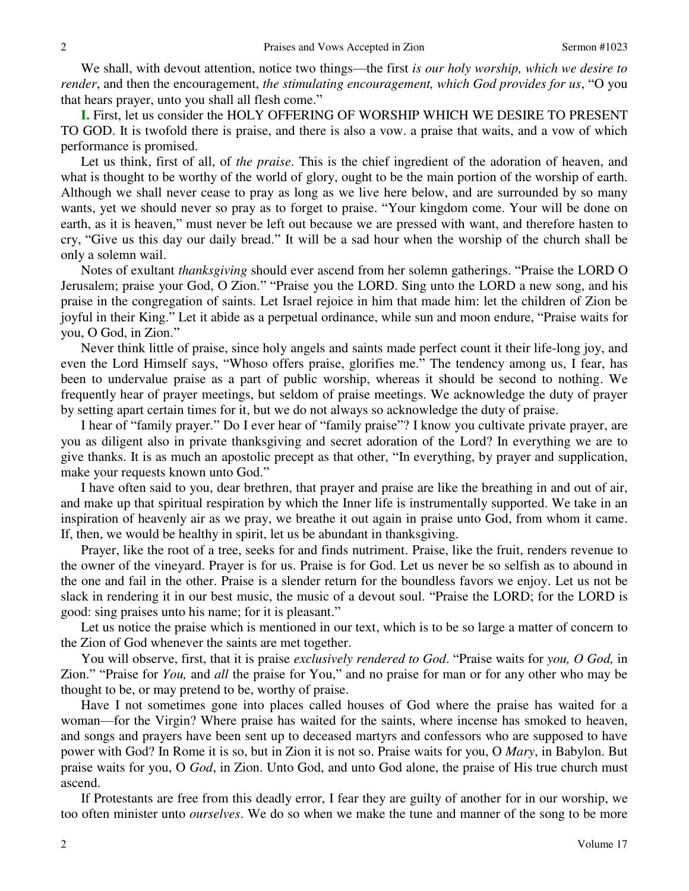We shall, with devout attention, notice two things—the first *is our holy worship, which we desire to render*, and then the encouragement, *the stimulating encouragement, which God provides for us*, "O you that hears prayer, unto you shall all flesh come."

**I.** First, let us consider the HOLY OFFERING OF WORSHIP WHICH WE DESIRE TO PRESENT TO GOD. It is twofold there is praise, and there is also a vow. a praise that waits, and a vow of which performance is promised.

Let us think, first of all, of *the praise*. This is the chief ingredient of the adoration of heaven, and what is thought to be worthy of the world of glory, ought to be the main portion of the worship of earth. Although we shall never cease to pray as long as we live here below, and are surrounded by so many wants, yet we should never so pray as to forget to praise. "Your kingdom come. Your will be done on earth, as it is heaven," must never be left out because we are pressed with want, and therefore hasten to cry, "Give us this day our daily bread." It will be a sad hour when the worship of the church shall be only a solemn wail.

Notes of exultant *thanksgiving* should ever ascend from her solemn gatherings. "Praise the LORD O Jerusalem; praise your God, O Zion." "Praise you the LORD. Sing unto the LORD a new song, and his praise in the congregation of saints. Let Israel rejoice in him that made him: let the children of Zion be joyful in their King." Let it abide as a perpetual ordinance, while sun and moon endure, "Praise waits for you, O God, in Zion."

Never think little of praise, since holy angels and saints made perfect count it their life-long joy, and even the Lord Himself says, "Whoso offers praise, glorifies me." The tendency among us, I fear, has been to undervalue praise as a part of public worship, whereas it should be second to nothing. We frequently hear of prayer meetings, but seldom of praise meetings. We acknowledge the duty of prayer by setting apart certain times for it, but we do not always so acknowledge the duty of praise.

I hear of "family prayer." Do I ever hear of "family praise"? I know you cultivate private prayer, are you as diligent also in private thanksgiving and secret adoration of the Lord? In everything we are to give thanks. It is as much an apostolic precept as that other, "In everything, by prayer and supplication, make your requests known unto God."

I have often said to you, dear brethren, that prayer and praise are like the breathing in and out of air, and make up that spiritual respiration by which the Inner life is instrumentally supported. We take in an inspiration of heavenly air as we pray, we breathe it out again in praise unto God, from whom it came. If, then, we would be healthy in spirit, let us be abundant in thanksgiving.

Prayer, like the root of a tree, seeks for and finds nutriment. Praise, like the fruit, renders revenue to the owner of the vineyard. Prayer is for us. Praise is for God. Let us never be so selfish as to abound in the one and fail in the other. Praise is a slender return for the boundless favors we enjoy. Let us not be slack in rendering it in our best music, the music of a devout soul. "Praise the LORD; for the LORD is good: sing praises unto his name; for it is pleasant."

Let us notice the praise which is mentioned in our text, which is to be so large a matter of concern to the Zion of God whenever the saints are met together.

You will observe, first, that it is praise *exclusively rendered to God*. "Praise waits for *you, O God,* in Zion." "Praise for *You,* and *all* the praise for You," and no praise for man or for any other who may be thought to be, or may pretend to be, worthy of praise.

Have I not sometimes gone into places called houses of God where the praise has waited for a woman—for the Virgin? Where praise has waited for the saints, where incense has smoked to heaven, and songs and prayers have been sent up to deceased martyrs and confessors who are supposed to have power with God? In Rome it is so, but in Zion it is not so. Praise waits for you, O *Mary*, in Babylon. But praise waits for you, O *God*, in Zion. Unto God, and unto God alone, the praise of His true church must ascend.

If Protestants are free from this deadly error, I fear they are guilty of another for in our worship, we too often minister unto *ourselves*. We do so when we make the tune and manner of the song to be more

2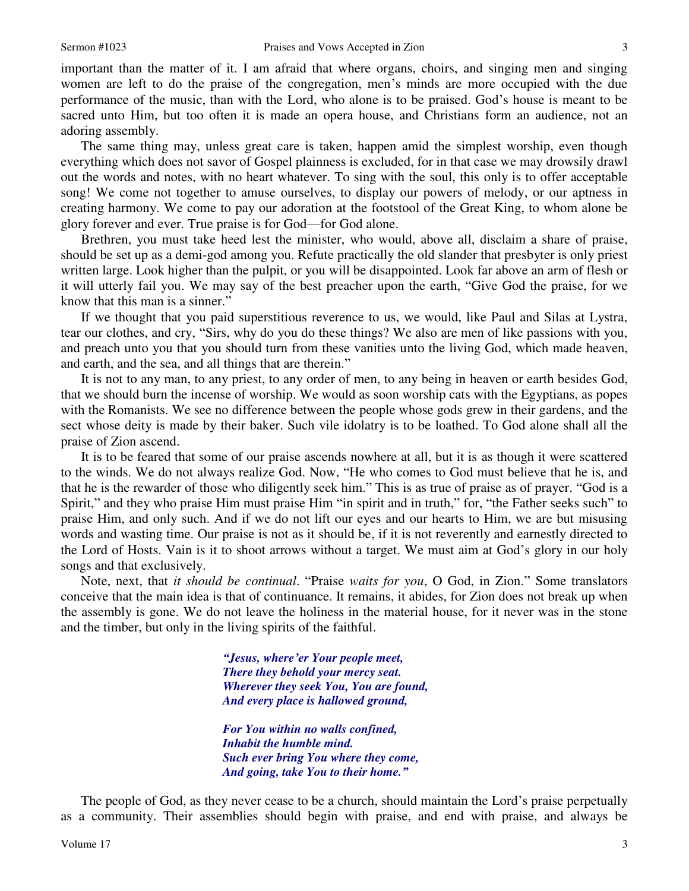important than the matter of it. I am afraid that where organs, choirs, and singing men and singing women are left to do the praise of the congregation, men's minds are more occupied with the due performance of the music, than with the Lord, who alone is to be praised. God's house is meant to be sacred unto Him, but too often it is made an opera house, and Christians form an audience, not an adoring assembly.

The same thing may, unless great care is taken, happen amid the simplest worship, even though everything which does not savor of Gospel plainness is excluded, for in that case we may drowsily drawl out the words and notes, with no heart whatever. To sing with the soul, this only is to offer acceptable song! We come not together to amuse ourselves, to display our powers of melody, or our aptness in creating harmony. We come to pay our adoration at the footstool of the Great King, to whom alone be glory forever and ever. True praise is for God—for God alone.

Brethren, you must take heed lest the minister, who would, above all, disclaim a share of praise, should be set up as a demi-god among you. Refute practically the old slander that presbyter is only priest written large. Look higher than the pulpit, or you will be disappointed. Look far above an arm of flesh or it will utterly fail you. We may say of the best preacher upon the earth, "Give God the praise, for we know that this man is a sinner."

If we thought that you paid superstitious reverence to us, we would, like Paul and Silas at Lystra, tear our clothes, and cry, "Sirs, why do you do these things? We also are men of like passions with you, and preach unto you that you should turn from these vanities unto the living God, which made heaven, and earth, and the sea, and all things that are therein."

It is not to any man, to any priest, to any order of men, to any being in heaven or earth besides God, that we should burn the incense of worship. We would as soon worship cats with the Egyptians, as popes with the Romanists. We see no difference between the people whose gods grew in their gardens, and the sect whose deity is made by their baker. Such vile idolatry is to be loathed. To God alone shall all the praise of Zion ascend.

It is to be feared that some of our praise ascends nowhere at all, but it is as though it were scattered to the winds. We do not always realize God. Now, "He who comes to God must believe that he is, and that he is the rewarder of those who diligently seek him." This is as true of praise as of prayer. "God is a Spirit," and they who praise Him must praise Him "in spirit and in truth," for, "the Father seeks such" to praise Him, and only such. And if we do not lift our eyes and our hearts to Him, we are but misusing words and wasting time. Our praise is not as it should be, if it is not reverently and earnestly directed to the Lord of Hosts. Vain is it to shoot arrows without a target. We must aim at God's glory in our holy songs and that exclusively.

Note, next, that *it should be continual*. "Praise *waits for you*, O God, in Zion." Some translators conceive that the main idea is that of continuance. It remains, it abides, for Zion does not break up when the assembly is gone. We do not leave the holiness in the material house, for it never was in the stone and the timber, but only in the living spirits of the faithful.

> *"Jesus, where'er Your people meet, There they behold your mercy seat. Wherever they seek You, You are found, And every place is hallowed ground,*

*For You within no walls confined, Inhabit the humble mind. Such ever bring You where they come, And going, take You to their home."* 

The people of God, as they never cease to be a church, should maintain the Lord's praise perpetually as a community. Their assemblies should begin with praise, and end with praise, and always be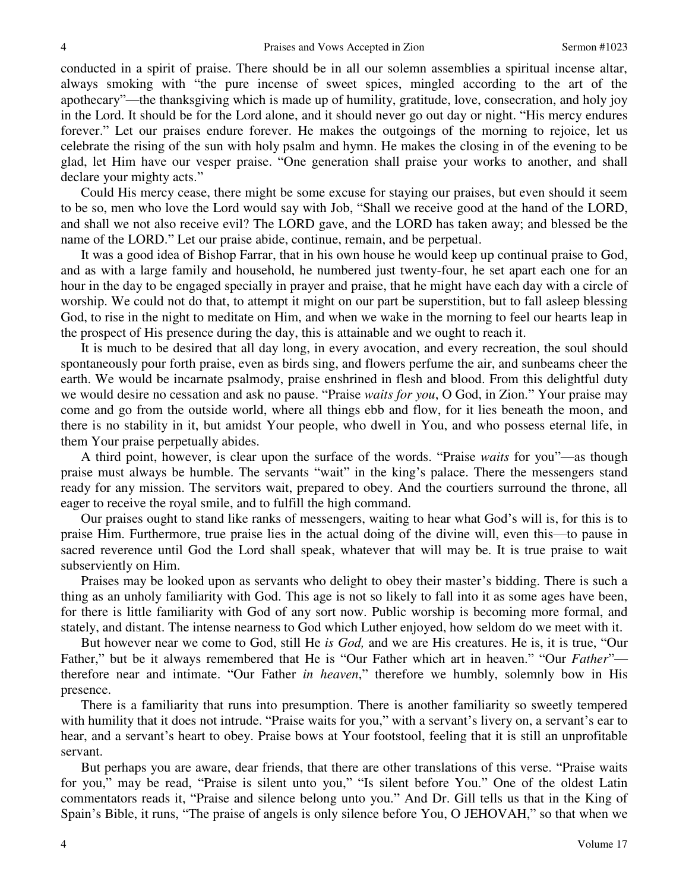conducted in a spirit of praise. There should be in all our solemn assemblies a spiritual incense altar, always smoking with "the pure incense of sweet spices, mingled according to the art of the apothecary"—the thanksgiving which is made up of humility, gratitude, love, consecration, and holy joy in the Lord. It should be for the Lord alone, and it should never go out day or night. "His mercy endures forever." Let our praises endure forever. He makes the outgoings of the morning to rejoice, let us celebrate the rising of the sun with holy psalm and hymn. He makes the closing in of the evening to be glad, let Him have our vesper praise. "One generation shall praise your works to another, and shall declare your mighty acts."

Could His mercy cease, there might be some excuse for staying our praises, but even should it seem to be so, men who love the Lord would say with Job, "Shall we receive good at the hand of the LORD, and shall we not also receive evil? The LORD gave, and the LORD has taken away; and blessed be the name of the LORD." Let our praise abide, continue, remain, and be perpetual.

It was a good idea of Bishop Farrar, that in his own house he would keep up continual praise to God, and as with a large family and household, he numbered just twenty-four, he set apart each one for an hour in the day to be engaged specially in prayer and praise, that he might have each day with a circle of worship. We could not do that, to attempt it might on our part be superstition, but to fall asleep blessing God, to rise in the night to meditate on Him, and when we wake in the morning to feel our hearts leap in the prospect of His presence during the day, this is attainable and we ought to reach it.

It is much to be desired that all day long, in every avocation, and every recreation, the soul should spontaneously pour forth praise, even as birds sing, and flowers perfume the air, and sunbeams cheer the earth. We would be incarnate psalmody, praise enshrined in flesh and blood. From this delightful duty we would desire no cessation and ask no pause. "Praise *waits for you*, O God, in Zion." Your praise may come and go from the outside world, where all things ebb and flow, for it lies beneath the moon, and there is no stability in it, but amidst Your people, who dwell in You, and who possess eternal life, in them Your praise perpetually abides.

A third point, however, is clear upon the surface of the words. "Praise *waits* for you"—as though praise must always be humble. The servants "wait" in the king's palace. There the messengers stand ready for any mission. The servitors wait, prepared to obey. And the courtiers surround the throne, all eager to receive the royal smile, and to fulfill the high command.

Our praises ought to stand like ranks of messengers, waiting to hear what God's will is, for this is to praise Him. Furthermore, true praise lies in the actual doing of the divine will, even this—to pause in sacred reverence until God the Lord shall speak, whatever that will may be. It is true praise to wait subserviently on Him.

Praises may be looked upon as servants who delight to obey their master's bidding. There is such a thing as an unholy familiarity with God. This age is not so likely to fall into it as some ages have been, for there is little familiarity with God of any sort now. Public worship is becoming more formal, and stately, and distant. The intense nearness to God which Luther enjoyed, how seldom do we meet with it.

But however near we come to God, still He *is God,* and we are His creatures. He is, it is true, "Our Father," but be it always remembered that He is "Our Father which art in heaven." "Our *Father*" therefore near and intimate. "Our Father *in heaven*," therefore we humbly, solemnly bow in His presence.

There is a familiarity that runs into presumption. There is another familiarity so sweetly tempered with humility that it does not intrude. "Praise waits for you," with a servant's livery on, a servant's ear to hear, and a servant's heart to obey. Praise bows at Your footstool, feeling that it is still an unprofitable servant.

But perhaps you are aware, dear friends, that there are other translations of this verse. "Praise waits for you," may be read, "Praise is silent unto you," "Is silent before You." One of the oldest Latin commentators reads it, "Praise and silence belong unto you." And Dr. Gill tells us that in the King of Spain's Bible, it runs, "The praise of angels is only silence before You, O JEHOVAH," so that when we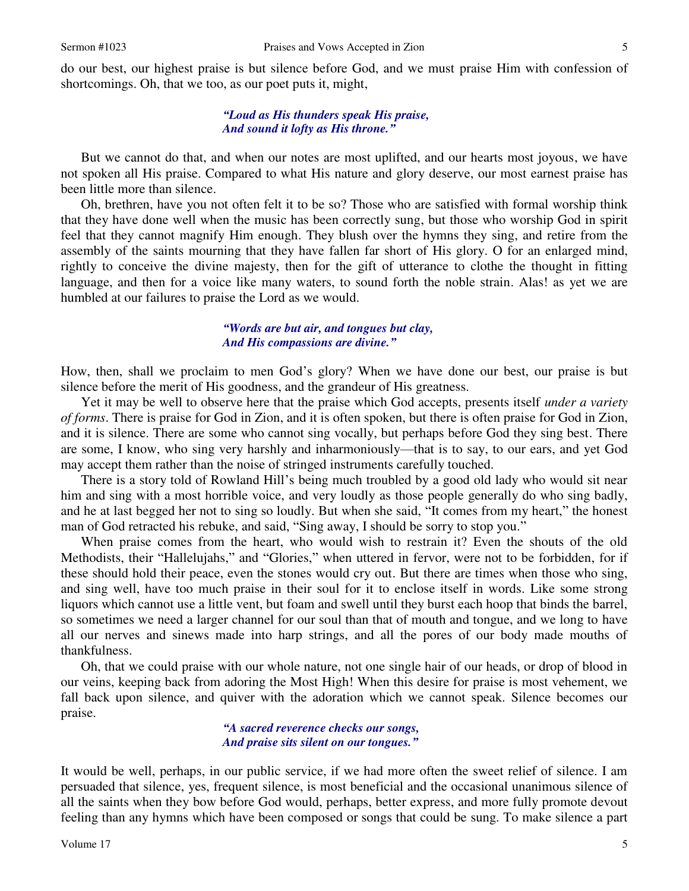do our best, our highest praise is but silence before God, and we must praise Him with confession of shortcomings. Oh, that we too, as our poet puts it, might,

#### *"Loud as His thunders speak His praise, And sound it lofty as His throne."*

But we cannot do that, and when our notes are most uplifted, and our hearts most joyous, we have not spoken all His praise. Compared to what His nature and glory deserve, our most earnest praise has been little more than silence.

Oh, brethren, have you not often felt it to be so? Those who are satisfied with formal worship think that they have done well when the music has been correctly sung, but those who worship God in spirit feel that they cannot magnify Him enough. They blush over the hymns they sing, and retire from the assembly of the saints mourning that they have fallen far short of His glory. O for an enlarged mind, rightly to conceive the divine majesty, then for the gift of utterance to clothe the thought in fitting language, and then for a voice like many waters, to sound forth the noble strain. Alas! as yet we are humbled at our failures to praise the Lord as we would.

#### *"Words are but air, and tongues but clay, And His compassions are divine."*

How, then, shall we proclaim to men God's glory? When we have done our best, our praise is but silence before the merit of His goodness, and the grandeur of His greatness.

Yet it may be well to observe here that the praise which God accepts, presents itself *under a variety of forms*. There is praise for God in Zion, and it is often spoken, but there is often praise for God in Zion, and it is silence. There are some who cannot sing vocally, but perhaps before God they sing best. There are some, I know, who sing very harshly and inharmoniously—that is to say, to our ears, and yet God may accept them rather than the noise of stringed instruments carefully touched.

There is a story told of Rowland Hill's being much troubled by a good old lady who would sit near him and sing with a most horrible voice, and very loudly as those people generally do who sing badly, and he at last begged her not to sing so loudly. But when she said, "It comes from my heart," the honest man of God retracted his rebuke, and said, "Sing away, I should be sorry to stop you."

When praise comes from the heart, who would wish to restrain it? Even the shouts of the old Methodists, their "Hallelujahs," and "Glories," when uttered in fervor, were not to be forbidden, for if these should hold their peace, even the stones would cry out. But there are times when those who sing, and sing well, have too much praise in their soul for it to enclose itself in words. Like some strong liquors which cannot use a little vent, but foam and swell until they burst each hoop that binds the barrel, so sometimes we need a larger channel for our soul than that of mouth and tongue, and we long to have all our nerves and sinews made into harp strings, and all the pores of our body made mouths of thankfulness.

Oh, that we could praise with our whole nature, not one single hair of our heads, or drop of blood in our veins, keeping back from adoring the Most High! When this desire for praise is most vehement, we fall back upon silence, and quiver with the adoration which we cannot speak. Silence becomes our praise.

> *"A sacred reverence checks our songs, And praise sits silent on our tongues."*

It would be well, perhaps, in our public service, if we had more often the sweet relief of silence. I am persuaded that silence, yes, frequent silence, is most beneficial and the occasional unanimous silence of all the saints when they bow before God would, perhaps, better express, and more fully promote devout feeling than any hymns which have been composed or songs that could be sung. To make silence a part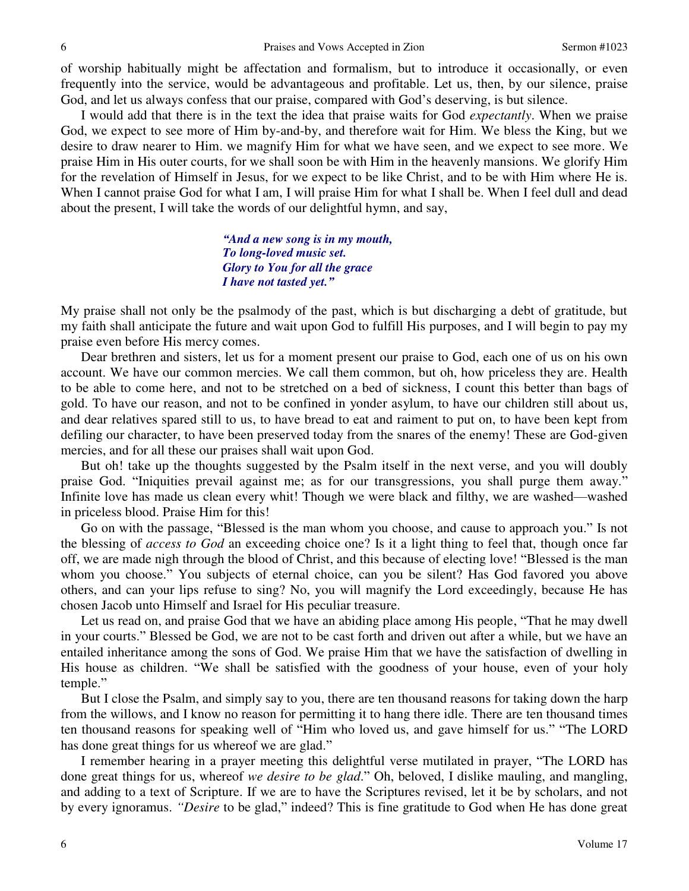of worship habitually might be affectation and formalism, but to introduce it occasionally, or even frequently into the service, would be advantageous and profitable. Let us, then, by our silence, praise God, and let us always confess that our praise, compared with God's deserving, is but silence.

I would add that there is in the text the idea that praise waits for God *expectantly*. When we praise God, we expect to see more of Him by-and-by, and therefore wait for Him. We bless the King, but we desire to draw nearer to Him. we magnify Him for what we have seen, and we expect to see more. We praise Him in His outer courts, for we shall soon be with Him in the heavenly mansions. We glorify Him for the revelation of Himself in Jesus, for we expect to be like Christ, and to be with Him where He is. When I cannot praise God for what I am, I will praise Him for what I shall be. When I feel dull and dead about the present, I will take the words of our delightful hymn, and say,

> *"And a new song is in my mouth, To long-loved music set. Glory to You for all the grace I have not tasted yet."*

My praise shall not only be the psalmody of the past, which is but discharging a debt of gratitude, but my faith shall anticipate the future and wait upon God to fulfill His purposes, and I will begin to pay my praise even before His mercy comes.

Dear brethren and sisters, let us for a moment present our praise to God, each one of us on his own account. We have our common mercies. We call them common, but oh, how priceless they are. Health to be able to come here, and not to be stretched on a bed of sickness, I count this better than bags of gold. To have our reason, and not to be confined in yonder asylum, to have our children still about us, and dear relatives spared still to us, to have bread to eat and raiment to put on, to have been kept from defiling our character, to have been preserved today from the snares of the enemy! These are God-given mercies, and for all these our praises shall wait upon God.

But oh! take up the thoughts suggested by the Psalm itself in the next verse, and you will doubly praise God. "Iniquities prevail against me; as for our transgressions, you shall purge them away." Infinite love has made us clean every whit! Though we were black and filthy, we are washed—washed in priceless blood. Praise Him for this!

Go on with the passage, "Blessed is the man whom you choose, and cause to approach you." Is not the blessing of *access to God* an exceeding choice one? Is it a light thing to feel that, though once far off, we are made nigh through the blood of Christ, and this because of electing love! "Blessed is the man whom you choose." You subjects of eternal choice, can you be silent? Has God favored you above others, and can your lips refuse to sing? No, you will magnify the Lord exceedingly, because He has chosen Jacob unto Himself and Israel for His peculiar treasure.

Let us read on, and praise God that we have an abiding place among His people, "That he may dwell in your courts." Blessed be God, we are not to be cast forth and driven out after a while, but we have an entailed inheritance among the sons of God. We praise Him that we have the satisfaction of dwelling in His house as children. "We shall be satisfied with the goodness of your house, even of your holy temple."

But I close the Psalm, and simply say to you, there are ten thousand reasons for taking down the harp from the willows, and I know no reason for permitting it to hang there idle. There are ten thousand times ten thousand reasons for speaking well of "Him who loved us, and gave himself for us." "The LORD has done great things for us whereof we are glad."

I remember hearing in a prayer meeting this delightful verse mutilated in prayer, "The LORD has done great things for us, whereof *we desire to be glad*." Oh, beloved, I dislike mauling, and mangling, and adding to a text of Scripture. If we are to have the Scriptures revised, let it be by scholars, and not by every ignoramus. *"Desire* to be glad," indeed? This is fine gratitude to God when He has done great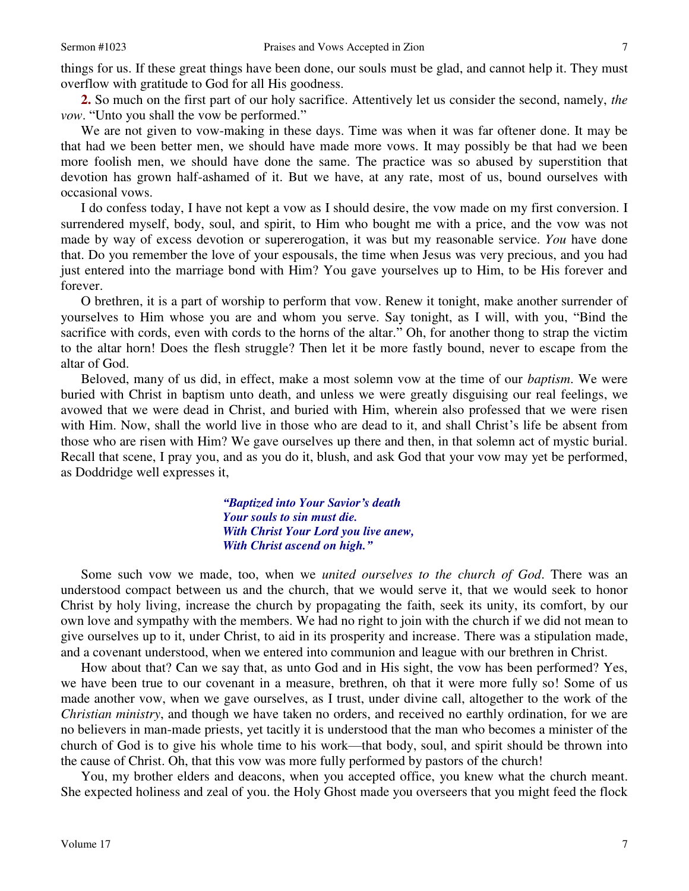things for us. If these great things have been done, our souls must be glad, and cannot help it. They must overflow with gratitude to God for all His goodness.

**2.** So much on the first part of our holy sacrifice. Attentively let us consider the second, namely, *the vow*. "Unto you shall the vow be performed."

We are not given to vow-making in these days. Time was when it was far oftener done. It may be that had we been better men, we should have made more vows. It may possibly be that had we been more foolish men, we should have done the same. The practice was so abused by superstition that devotion has grown half-ashamed of it. But we have, at any rate, most of us, bound ourselves with occasional vows.

I do confess today, I have not kept a vow as I should desire, the vow made on my first conversion. I surrendered myself, body, soul, and spirit, to Him who bought me with a price, and the vow was not made by way of excess devotion or supererogation, it was but my reasonable service. *You* have done that. Do you remember the love of your espousals, the time when Jesus was very precious, and you had just entered into the marriage bond with Him? You gave yourselves up to Him, to be His forever and forever.

O brethren, it is a part of worship to perform that vow. Renew it tonight, make another surrender of yourselves to Him whose you are and whom you serve. Say tonight, as I will, with you, "Bind the sacrifice with cords, even with cords to the horns of the altar." Oh, for another thong to strap the victim to the altar horn! Does the flesh struggle? Then let it be more fastly bound, never to escape from the altar of God.

Beloved, many of us did, in effect, make a most solemn vow at the time of our *baptism*. We were buried with Christ in baptism unto death, and unless we were greatly disguising our real feelings, we avowed that we were dead in Christ, and buried with Him, wherein also professed that we were risen with Him. Now, shall the world live in those who are dead to it, and shall Christ's life be absent from those who are risen with Him? We gave ourselves up there and then, in that solemn act of mystic burial. Recall that scene, I pray you, and as you do it, blush, and ask God that your vow may yet be performed, as Doddridge well expresses it,

> *"Baptized into Your Savior's death Your souls to sin must die. With Christ Your Lord you live anew, With Christ ascend on high."*

Some such vow we made, too, when we *united ourselves to the church of God*. There was an understood compact between us and the church, that we would serve it, that we would seek to honor Christ by holy living, increase the church by propagating the faith, seek its unity, its comfort, by our own love and sympathy with the members. We had no right to join with the church if we did not mean to give ourselves up to it, under Christ, to aid in its prosperity and increase. There was a stipulation made, and a covenant understood, when we entered into communion and league with our brethren in Christ.

How about that? Can we say that, as unto God and in His sight, the vow has been performed? Yes, we have been true to our covenant in a measure, brethren, oh that it were more fully so! Some of us made another vow, when we gave ourselves, as I trust, under divine call, altogether to the work of the *Christian ministry*, and though we have taken no orders, and received no earthly ordination, for we are no believers in man-made priests, yet tacitly it is understood that the man who becomes a minister of the church of God is to give his whole time to his work—that body, soul, and spirit should be thrown into the cause of Christ. Oh, that this vow was more fully performed by pastors of the church!

You, my brother elders and deacons, when you accepted office, you knew what the church meant. She expected holiness and zeal of you. the Holy Ghost made you overseers that you might feed the flock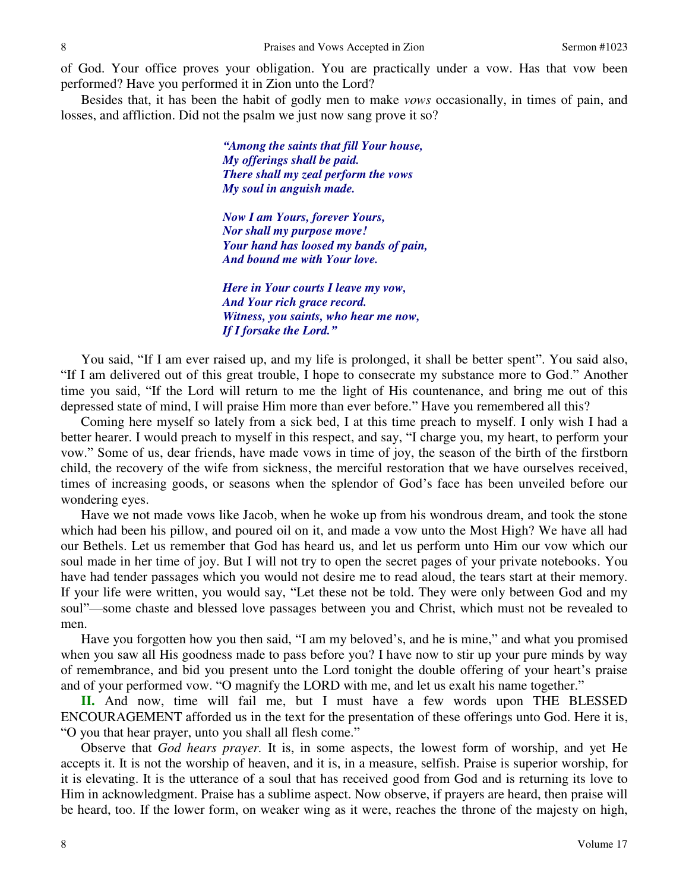of God. Your office proves your obligation. You are practically under a vow. Has that vow been performed? Have you performed it in Zion unto the Lord?

Besides that, it has been the habit of godly men to make *vows* occasionally, in times of pain, and losses, and affliction. Did not the psalm we just now sang prove it so?

> *"Among the saints that fill Your house, My offerings shall be paid. There shall my zeal perform the vows My soul in anguish made.*

*Now I am Yours, forever Yours, Nor shall my purpose move! Your hand has loosed my bands of pain, And bound me with Your love.* 

*Here in Your courts I leave my vow, And Your rich grace record. Witness, you saints, who hear me now, If I forsake the Lord."* 

You said, "If I am ever raised up, and my life is prolonged, it shall be better spent". You said also, "If I am delivered out of this great trouble, I hope to consecrate my substance more to God." Another time you said, "If the Lord will return to me the light of His countenance, and bring me out of this depressed state of mind, I will praise Him more than ever before." Have you remembered all this?

Coming here myself so lately from a sick bed, I at this time preach to myself. I only wish I had a better hearer. I would preach to myself in this respect, and say, "I charge you, my heart, to perform your vow." Some of us, dear friends, have made vows in time of joy, the season of the birth of the firstborn child, the recovery of the wife from sickness, the merciful restoration that we have ourselves received, times of increasing goods, or seasons when the splendor of God's face has been unveiled before our wondering eyes.

Have we not made vows like Jacob, when he woke up from his wondrous dream, and took the stone which had been his pillow, and poured oil on it, and made a vow unto the Most High? We have all had our Bethels. Let us remember that God has heard us, and let us perform unto Him our vow which our soul made in her time of joy. But I will not try to open the secret pages of your private notebooks. You have had tender passages which you would not desire me to read aloud, the tears start at their memory. If your life were written, you would say, "Let these not be told. They were only between God and my soul"—some chaste and blessed love passages between you and Christ, which must not be revealed to men.

Have you forgotten how you then said, "I am my beloved's, and he is mine," and what you promised when you saw all His goodness made to pass before you? I have now to stir up your pure minds by way of remembrance, and bid you present unto the Lord tonight the double offering of your heart's praise and of your performed vow. "O magnify the LORD with me, and let us exalt his name together."

**II.** And now, time will fail me, but I must have a few words upon THE BLESSED ENCOURAGEMENT afforded us in the text for the presentation of these offerings unto God. Here it is, "O you that hear prayer, unto you shall all flesh come."

Observe that *God hears prayer.* It is, in some aspects, the lowest form of worship, and yet He accepts it. It is not the worship of heaven, and it is, in a measure, selfish. Praise is superior worship, for it is elevating. It is the utterance of a soul that has received good from God and is returning its love to Him in acknowledgment. Praise has a sublime aspect. Now observe, if prayers are heard, then praise will be heard, too. If the lower form, on weaker wing as it were, reaches the throne of the majesty on high,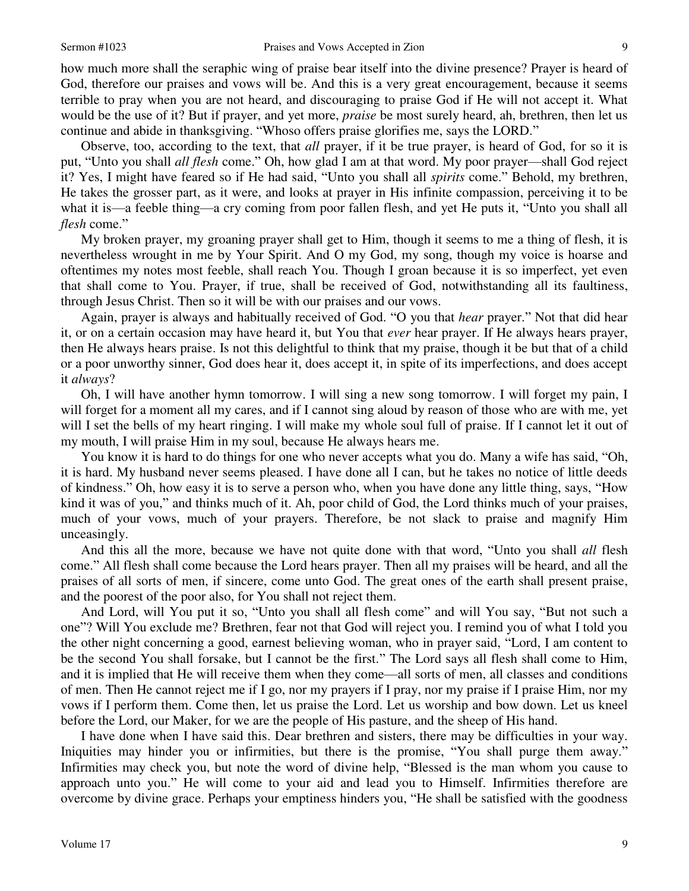how much more shall the seraphic wing of praise bear itself into the divine presence? Prayer is heard of God, therefore our praises and vows will be. And this is a very great encouragement, because it seems terrible to pray when you are not heard, and discouraging to praise God if He will not accept it. What would be the use of it? But if prayer, and yet more, *praise* be most surely heard, ah, brethren, then let us continue and abide in thanksgiving. "Whoso offers praise glorifies me, says the LORD."

Observe, too, according to the text, that *all* prayer, if it be true prayer, is heard of God, for so it is put, "Unto you shall *all flesh* come." Oh, how glad I am at that word. My poor prayer—shall God reject it? Yes, I might have feared so if He had said, "Unto you shall all *spirits* come." Behold, my brethren, He takes the grosser part, as it were, and looks at prayer in His infinite compassion, perceiving it to be what it is—a feeble thing—a cry coming from poor fallen flesh, and yet He puts it, "Unto you shall all *flesh* come."

My broken prayer, my groaning prayer shall get to Him, though it seems to me a thing of flesh, it is nevertheless wrought in me by Your Spirit. And O my God, my song, though my voice is hoarse and oftentimes my notes most feeble, shall reach You. Though I groan because it is so imperfect, yet even that shall come to You. Prayer, if true, shall be received of God, notwithstanding all its faultiness, through Jesus Christ. Then so it will be with our praises and our vows.

Again, prayer is always and habitually received of God. "O you that *hear* prayer." Not that did hear it, or on a certain occasion may have heard it, but You that *ever* hear prayer. If He always hears prayer, then He always hears praise. Is not this delightful to think that my praise, though it be but that of a child or a poor unworthy sinner, God does hear it, does accept it, in spite of its imperfections, and does accept it *always*?

Oh, I will have another hymn tomorrow. I will sing a new song tomorrow. I will forget my pain, I will forget for a moment all my cares, and if I cannot sing aloud by reason of those who are with me, yet will I set the bells of my heart ringing. I will make my whole soul full of praise. If I cannot let it out of my mouth, I will praise Him in my soul, because He always hears me.

You know it is hard to do things for one who never accepts what you do. Many a wife has said, "Oh, it is hard. My husband never seems pleased. I have done all I can, but he takes no notice of little deeds of kindness." Oh, how easy it is to serve a person who, when you have done any little thing, says, "How kind it was of you," and thinks much of it. Ah, poor child of God, the Lord thinks much of your praises, much of your vows, much of your prayers. Therefore, be not slack to praise and magnify Him unceasingly.

And this all the more, because we have not quite done with that word, "Unto you shall *all* flesh come." All flesh shall come because the Lord hears prayer. Then all my praises will be heard, and all the praises of all sorts of men, if sincere, come unto God. The great ones of the earth shall present praise, and the poorest of the poor also, for You shall not reject them.

And Lord, will You put it so, "Unto you shall all flesh come" and will You say, "But not such a one"? Will You exclude me? Brethren, fear not that God will reject you. I remind you of what I told you the other night concerning a good, earnest believing woman, who in prayer said, "Lord, I am content to be the second You shall forsake, but I cannot be the first." The Lord says all flesh shall come to Him, and it is implied that He will receive them when they come—all sorts of men, all classes and conditions of men. Then He cannot reject me if I go, nor my prayers if I pray, nor my praise if I praise Him, nor my vows if I perform them. Come then, let us praise the Lord. Let us worship and bow down. Let us kneel before the Lord, our Maker, for we are the people of His pasture, and the sheep of His hand.

I have done when I have said this. Dear brethren and sisters, there may be difficulties in your way. Iniquities may hinder you or infirmities, but there is the promise, "You shall purge them away." Infirmities may check you, but note the word of divine help, "Blessed is the man whom you cause to approach unto you." He will come to your aid and lead you to Himself. Infirmities therefore are overcome by divine grace. Perhaps your emptiness hinders you, "He shall be satisfied with the goodness